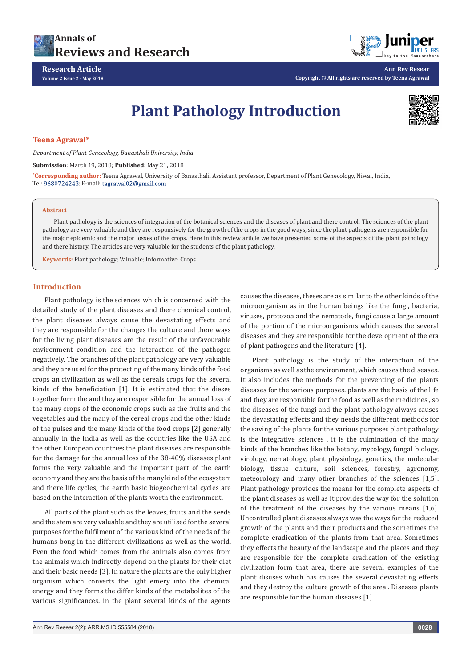



**Ann Rev Resear Copyright © All rights are reserved by Teena Agrawal**

# **Plant Pathology Introduction**



### **Teena Agrawal\***

*Department of Plant Genecology, Banasthali University, India*

**Submission**: March 19, 2018; **Published:** May 21, 2018

**\* Corresponding author:** Teena Agrawal, University of Banasthali, Assistant professor, Department of Plant Genecology, Niwai, India, Tel: 9680724243; E-mail: tagrawal02@gmail.com

#### **Abstract**

Plant pathology is the sciences of integration of the botanical sciences and the diseases of plant and there control. The sciences of the plant pathology are very valuable and they are responsively for the growth of the crops in the good ways, since the plant pathogens are responsible for the major epidemic and the major losses of the crops. Here in this review article we have presented some of the aspects of the plant pathology and there history. The articles are very valuable for the students of the plant pathology.

**Keywords:** Plant pathology; Valuable; Informative; Crops

## **Introduction**

Plant pathology is the sciences which is concerned with the detailed study of the plant diseases and there chemical control, the plant diseases always cause the devastating effects and they are responsible for the changes the culture and there ways for the living plant diseases are the result of the unfavourable environment condition and the interaction of the pathogen negatively. The branches of the plant pathology are very valuable and they are used for the protecting of the many kinds of the food crops an civilization as well as the cereals crops for the several kinds of the beneficiation [1]. It is estimated that the dieses together form the and they are responsible for the annual loss of the many crops of the economic crops such as the fruits and the vegetables and the many of the cereal crops and the other kinds of the pulses and the many kinds of the food crops [2] generally annually in the India as well as the countries like the USA and the other European countries the plant diseases are responsible for the damage for the annual loss of the 38-40% diseases plant forms the very valuable and the important part of the earth economy and they are the basis of the many kind of the ecosystem and there life cycles, the earth basic biogeochemical cycles are based on the interaction of the plants worth the environment.

All parts of the plant such as the leaves, fruits and the seeds and the stem are very valuable and they are utilised for the several purposes for the fulfilment of the various kind of the needs of the humans bong in the different civilizations as well as the world. Even the food which comes from the animals also comes from the animals which indirectly depend on the plants for their diet and their basic needs [3]. In nature the plants are the only higher organism which converts the light emery into the chemical energy and they forms the differ kinds of the metabolites of the various significances. in the plant several kinds of the agents

causes the diseases, theses are as similar to the other kinds of the microorganism as in the human beings like the fungi, bacteria, viruses, protozoa and the nematode, fungi cause a large amount of the portion of the microorganisms which causes the several diseases and they are responsible for the development of the era of plant pathogens and the literature [4].

Plant pathology is the study of the interaction of the organisms as well as the environment, which causes the diseases. It also includes the methods for the preventing of the plants diseases for the various purposes. plants are the basis of the life and they are responsible for the food as well as the medicines , so the diseases of the fungi and the plant pathology always causes the devastating effects and they needs the different methods for the saving of the plants for the various purposes plant pathology is the integrative sciences , it is the culmination of the many kinds of the branches like the botany, mycology, fungal biology, virology, nematology, plant physiology, genetics, the molecular biology, tissue culture, soil sciences, forestry, agronomy, meteorology and many other branches of the sciences [1,5]. Plant pathology provides the means for the complete aspects of the plant diseases as well as it provides the way for the solution of the treatment of the diseases by the various means [1,6]. Uncontrolled plant diseases always was the ways for the reduced growth of the plants and their products and the sometimes the complete eradication of the plants from that area. Sometimes they effects the beauty of the landscape and the places and they are responsible for the complete eradication of the existing civilization form that area, there are several examples of the plant disuses which has causes the several devastating effects and they destroy the culture growth of the area . Diseases plants are responsible for the human diseases [1].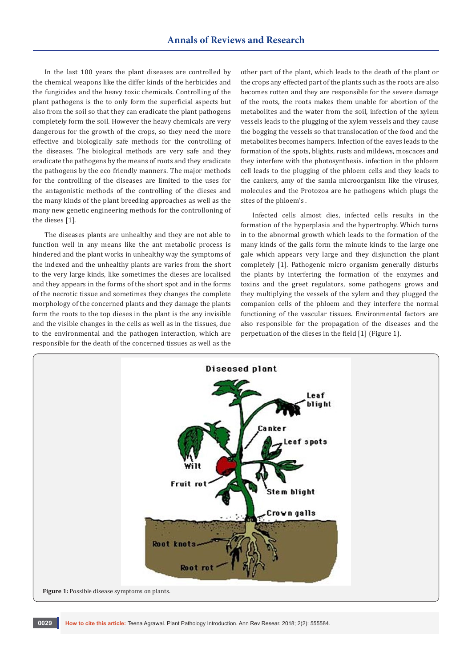In the last 100 years the plant diseases are controlled by the chemical weapons like the differ kinds of the herbicides and the fungicides and the heavy toxic chemicals. Controlling of the plant pathogens is the to only form the superficial aspects but also from the soil so that they can eradicate the plant pathogens completely form the soil. However the heavy chemicals are very dangerous for the growth of the crops, so they need the more effective and biologically safe methods for the controlling of the diseases. The biological methods are very safe and they eradicate the pathogens by the means of roots and they eradicate the pathogens by the eco friendly manners. The major methods for the controlling of the diseases are limited to the uses for the antagonistic methods of the controlling of the dieses and the many kinds of the plant breeding approaches as well as the many new genetic engineering methods for the controlloning of the dieses [1].

The diseases plants are unhealthy and they are not able to function well in any means like the ant metabolic process is hindered and the plant works in unhealthy way the symptoms of the indexed and the unhealthy plants are varies from the short to the very large kinds, like sometimes the dieses are localised and they appears in the forms of the short spot and in the forms of the necrotic tissue and sometimes they changes the complete morphology of the concerned plants and they damage the plants form the roots to the top dieses in the plant is the any invisible and the visible changes in the cells as well as in the tissues, due to the environmental and the pathogen interaction, which are responsible for the death of the concerned tissues as well as the

other part of the plant, which leads to the death of the plant or the crops any effected part of the plants such as the roots are also becomes rotten and they are responsible for the severe damage of the roots, the roots makes them unable for abortion of the metabolites and the water from the soil, infection of the xylem vessels leads to the plugging of the xylem vessels and they cause the bogging the vessels so that translocation of the food and the metabolites becomes hampers. Infection of the eaves leads to the formation of the spots, blights, rusts and mildews, moscaces and they interfere with the photosynthesis. infection in the phloem cell leads to the plugging of the phloem cells and they leads to the cankers, amy of the samla microorganism like the viruses, molecules and the Protozoa are he pathogens which plugs the sites of the phloem's .

Infected cells almost dies, infected cells results in the formation of the hyperplasia and the hypertrophy. Which turns in to the abnormal growth which leads to the formation of the many kinds of the galls form the minute kinds to the large one gale which appears very large and they disjunction the plant completely [1]. Pathogenic micro organism generally disturbs the plants by interfering the formation of the enzymes and toxins and the greet regulators, some pathogens grows and they multiplying the vessels of the xylem and they plugged the companion cells of the phloem and they interfere the normal functioning of the vascular tissues. Environmental factors are also responsible for the propagation of the diseases and the perpetuation of the dieses in the field [1] (Figure 1).

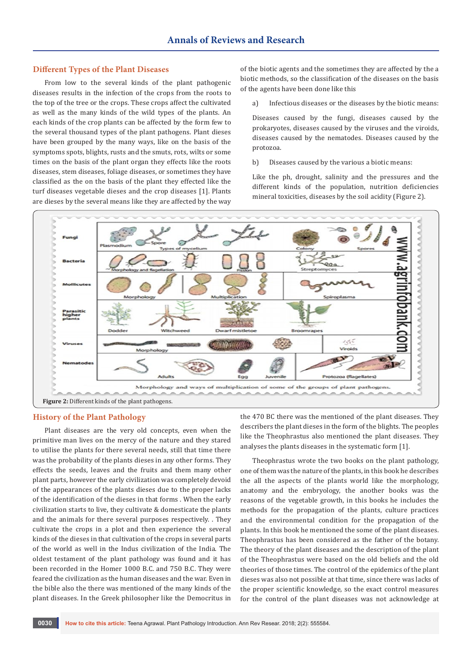## **Different Types of the Plant Diseases**

From low to the several kinds of the plant pathogenic diseases results in the infection of the crops from the roots to the top of the tree or the crops. These crops affect the cultivated as well as the many kinds of the wild types of the plants. An each kinds of the crop plants can be affected by the form few to the several thousand types of the plant pathogens. Plant dieses have been grouped by the many ways, like on the basis of the symptoms spots, blights, rusts and the smuts, rots, wilts or some times on the basis of the plant organ they effects like the roots diseases, stem diseases, foliage diseases, or sometimes they have classified as the on the basis of the plant they effected like the turf diseases vegetable dieses and the crop diseases [1]. Plants are dieses by the several means like they are affected by the way

of the biotic agents and the sometimes they are affected by the a biotic methods, so the classification of the diseases on the basis of the agents have been done like this

a) Infectious diseases or the diseases by the biotic means:

Diseases caused by the fungi, diseases caused by the prokaryotes, diseases caused by the viruses and the viroids, diseases caused by the nematodes. Diseases caused by the protozoa.

b) Diseases caused by the various a biotic means:

Like the ph, drought, salinity and the pressures and the different kinds of the population, nutrition deficiencies mineral toxicities, diseases by the soil acidity (Figure 2).



#### **History of the Plant Pathology**

Plant diseases are the very old concepts, even when the primitive man lives on the mercy of the nature and they stared to utilise the plants for there several needs, still that time there was the probability of the plants dieses in any other forms. They effects the seeds, leaves and the fruits and them many other plant parts, however the early civilization was completely devoid of the appearances of the plants dieses due to the proper lacks of the identification of the dieses in that forms . When the early civilization starts to live, they cultivate & domesticate the plants and the animals for there several purposes respectively. . They cultivate the crops in a plot and then experience the several kinds of the dieses in that cultivation of the crops in several parts of the world as well in the Indus civilization of the India. The oldest testament of the plant pathology was found and it has been recorded in the Homer 1000 B.C. and 750 B.C. They were feared the civilization as the human diseases and the war. Even in the bible also the there was mentioned of the many kinds of the plant diseases. In the Greek philosopher like the Democritus in

the 470 BC there was the mentioned of the plant diseases. They describers the plant dieses in the form of the blights. The peoples like the Theophrastus also mentioned the plant diseases. They analyses the plants diseases in the systematic form [1].

Theophrastus wrote the two books on the plant pathology, one of them was the nature of the plants, in this book he describes the all the aspects of the plants world like the morphology, anatomy and the embryology, the another books was the reasons of the vegetable growth, in this books he includes the methods for the propagation of the plants, culture practices and the environmental condition for the propagation of the plants. In this book he mentioned the some of the plant diseases. Theophrastus has been considered as the father of the botany. The theory of the plant diseases and the description of the plant of the Theophrastus were based on the old beliefs and the old theories of those times. The control of the epidemics of the plant dieses was also not possible at that time, since there was lacks of the proper scientific knowledge, so the exact control measures for the control of the plant diseases was not acknowledge at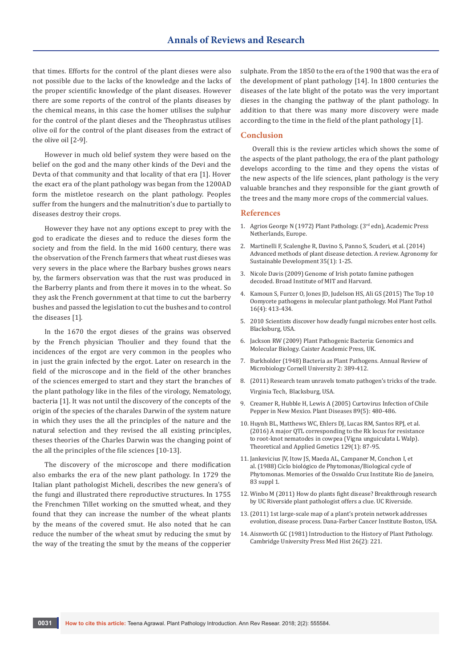that times. Efforts for the control of the plant dieses were also not possible due to the lacks of the knowledge and the lacks of the proper scientific knowledge of the plant diseases. However there are some reports of the control of the plants diseases by the chemical means, in this case the homer utilises the sulphur for the control of the plant dieses and the Theophrastus utilises olive oil for the control of the plant diseases from the extract of the olive oil [2-9].

However in much old belief system they were based on the belief on the god and the many other kinds of the Devi and the Devta of that community and that locality of that era [1]. Hover the exact era of the plant pathology was began from the 1200AD form the mistletoe research on the plant pathology. Peoples suffer from the hungers and the malnutrition's due to partially to diseases destroy their crops.

However they have not any options except to prey with the god to eradicate the dieses and to reduce the dieses form the society and from the field. In the mid 1600 century, there was the observation of the French farmers that wheat rust dieses was very severs in the place where the Barbary bushes grows nears by, the farmers observation was that the rust was produced in the Barberry plants and from there it moves in to the wheat. So they ask the French government at that time to cut the barberry bushes and passed the legislation to cut the bushes and to control the diseases [1].

In the 1670 the ergot dieses of the grains was observed by the French physician Thoulier and they found that the incidences of the ergot are very common in the peoples who in just the grain infected by the ergot. Later on research in the field of the microscope and in the field of the other branches of the sciences emerged to start and they start the branches of the plant pathology like in the files of the virology, Nematology, bacteria [1]. It was not until the discovery of the concepts of the origin of the species of the charales Darwin of the system nature in which they uses the all the principles of the nature and the natural selection and they revised the all existing principles, theses theories of the Charles Darwin was the changing point of the all the principles of the file sciences [10-13].

The discovery of the microscope and there modification also embarks the era of the new plant pathology. In 1729 the Italian plant pathologist Micheli, describes the new genera's of the fungi and illustrated there reproductive structures. In 1755 the Frenchmen Tillet working on the smutted wheat, and they found that they can increase the number of the wheat plants by the means of the covered smut. He also noted that he can reduce the number of the wheat smut by reducing the smut by the way of the treating the smut by the means of the copperier

sulphate. From the 1850 to the era of the 1900 that was the era of the development of plant pathology [14]. In 1800 centuries the diseases of the late blight of the potato was the very important dieses in the changing the pathway of the plant pathology. In addition to that there was many more discovery were made according to the time in the field of the plant pathology [1].

## **Conclusion**

Overall this is the review articles which shows the some of the aspects of the plant pathology, the era of the plant pathology develops according to the time and they opens the vistas of the new aspects of the life sciences, plant pathology is the very valuable branches and they responsible for the giant growth of the trees and the many more crops of the commercial values.

#### **References**

- 1. Agrios George N (1972) Plant Pathology. (3rd edn), Academic Press Netherlands, Europe.
- 2. [Martinelli F, Scalenghe R, Davino S, Panno S, Scuderi, et al. \(2014\)](https://link.springer.com/article/10.1007%2Fs13593-014-0246-1)  [Advanced methods of plant disease detection. A review. Agronomy for](https://link.springer.com/article/10.1007%2Fs13593-014-0246-1)  [Sustainable Development 35\(1\): 1-25.](https://link.springer.com/article/10.1007%2Fs13593-014-0246-1)
- 3. Nicole Davis (2009) Genome of Irish potato famine pathogen decoded. Broad Institute of MIT and Harvard.
- 4. [Kamoun S, Furzer O, Jones JD, Judelson HS, Ali GS \(2015\) The Top 10](https://www.ncbi.nlm.nih.gov/pubmed/25178392)  [Oomycete pathogens in molecular plant pathology. Mol Plant Pathol](https://www.ncbi.nlm.nih.gov/pubmed/25178392)  [16\(4\): 413-434.](https://www.ncbi.nlm.nih.gov/pubmed/25178392)
- 5. 2010 Scientists discover how deadly fungal microbes enter host cells. Blacksburg, USA.
- 6. [Jackson RW \(2009\) Plant Pathogenic Bacteria: Genomics and](https://www.caister.com/ppb)  [Molecular Biology. Caister Academic Press, UK.](https://www.caister.com/ppb)
- 7. [Burkholder \(1948\) Bacteria as Plant Pathogens. Annual Review of](https://www.annualreviews.org/doi/10.1146/annurev.mi.02.100148.002133)  [Microbiology Cornell University 2: 389-412.](https://www.annualreviews.org/doi/10.1146/annurev.mi.02.100148.002133)
- 8. [\(2011\) Research team unravels tomato pathogen's tricks of the trade.](https://vtnews.vt.edu/articles/2011/11/110311-fralin-tomatopathogen.html)  Virginia Tech, [Blacksburg, USA.](https://vtnews.vt.edu/articles/2011/11/110311-fralin-tomatopathogen.html)
- 9. [Creamer R, Hubble H, Lewis A \(2005\) Curtovirus Infection of Chile](https://apsjournals.apsnet.org/doi/abs/10.1094/PD-89-0480)  [Pepper in New Mexico. Plant Diseases 89\(5\): 480-486.](https://apsjournals.apsnet.org/doi/abs/10.1094/PD-89-0480)
- 10. [Huynh BL, Matthews WC, Ehlers DJ, Lucas RM, Santos RPJ, et al.](https://link.springer.com/article/10.1007%2Fs00122-015-2611-0)  [\(2016\) A major QTL corresponding to the Rk locus for resistance](https://link.springer.com/article/10.1007%2Fs00122-015-2611-0)  [to root-knot nematodes in cowpea \(Vigna unguiculata L Walp\).](https://link.springer.com/article/10.1007%2Fs00122-015-2611-0)  [Theoretical and Applied Genetics 129\(1\): 87-95.](https://link.springer.com/article/10.1007%2Fs00122-015-2611-0)
- 11. [Jankevicius JV, Itow JS, Maeda AL, Campaner M, Conchon I, et](http://www.scielo.br/scielo.php?pid=S0074-02761988000500073&script=sci_arttext)  al. (1988) Ciclo bioló[gico de Phytomonas/Biological cycle of](http://www.scielo.br/scielo.php?pid=S0074-02761988000500073&script=sci_arttext)  [Phytomonas. Memories of the Oswaldo Cruz Institute Rio de Janeiro,](http://www.scielo.br/scielo.php?pid=S0074-02761988000500073&script=sci_arttext)  [83 suppl 1.](http://www.scielo.br/scielo.php?pid=S0074-02761988000500073&script=sci_arttext)
- 12. [Winbo M \(2011\) How do plants fight disease? Breakthrough research](http://newsroom.ucr.edu/2587)  [by UC Riverside plant pathologist offers a clue. UC Riverside.](http://newsroom.ucr.edu/2587)
- 13.(2011) 1st large-scale map of a plant's protein network addresses evolution, disease process. Dana-Farber Cancer Institute Boston, USA.
- 14. Aisnworth GC (1981) Introduction to the History of Plant Pathology. Cambridge University Press Med Hist 26(2): 221.